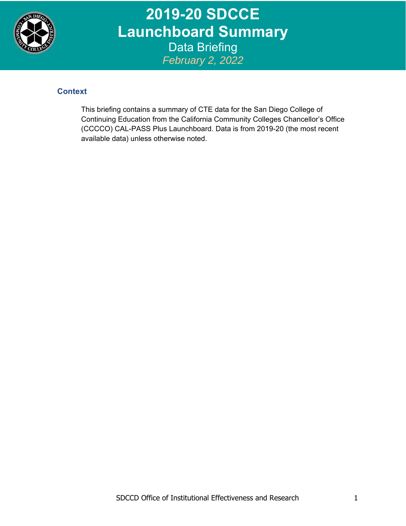

**2019-20 SDCCE Launchboard Summary**  Data Briefing *February 2, 2022*

## **Context**

This briefing contains a summary of CTE data for the San Diego College of Continuing Education from the California Community Colleges Chancellor's Office (CCCCO) CAL-PASS Plus Launchboard. Data is from 2019-20 (the most recent available data) unless otherwise noted.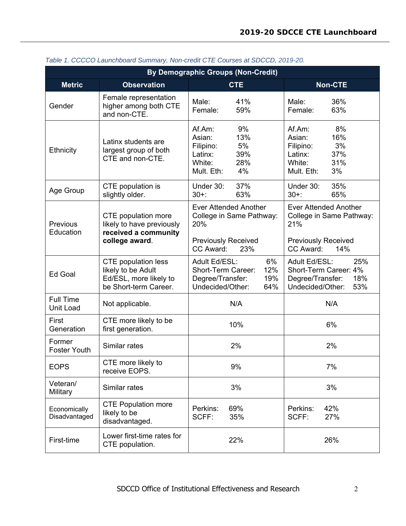| <b>By Demographic Groups (Non-Credit)</b> |                                                                                                     |                                                                                                         |                                                                                                         |  |  |  |  |  |  |
|-------------------------------------------|-----------------------------------------------------------------------------------------------------|---------------------------------------------------------------------------------------------------------|---------------------------------------------------------------------------------------------------------|--|--|--|--|--|--|
| <b>Metric</b>                             | <b>Observation</b>                                                                                  | <b>CTE</b>                                                                                              | <b>Non-CTE</b>                                                                                          |  |  |  |  |  |  |
| Gender                                    | Female representation<br>higher among both CTE<br>and non-CTE.                                      | 41%<br>Male:<br>Female:<br>59%                                                                          | 36%<br>Male:<br>63%<br>Female:                                                                          |  |  |  |  |  |  |
| <b>Ethnicity</b>                          | Latinx students are<br>largest group of both<br>CTE and non-CTE.                                    | 9%<br>Af.Am:<br>Asian:<br>13%<br>5%<br>Filipino:<br>39%<br>Latinx:<br>28%<br>White:<br>4%<br>Mult. Eth: | 8%<br>Af.Am:<br>Asian:<br>16%<br>3%<br>Filipino:<br>37%<br>Latinx:<br>31%<br>White:<br>3%<br>Mult. Eth: |  |  |  |  |  |  |
| Age Group                                 | CTE population is<br>slightly older.                                                                | Under 30:<br>37%<br>63%<br>$30+$ :                                                                      | Under 30:<br>35%<br>$30+$ :<br>65%                                                                      |  |  |  |  |  |  |
| Previous<br>Education                     | CTE population more<br>likely to have previously<br>received a community                            | <b>Ever Attended Another</b><br>College in Same Pathway:<br>20%                                         | <b>Ever Attended Another</b><br>College in Same Pathway:<br>21%                                         |  |  |  |  |  |  |
|                                           | college award.                                                                                      | <b>Previously Received</b><br>CC Award:<br>23%                                                          | <b>Previously Received</b><br>CC Award:<br>14%                                                          |  |  |  |  |  |  |
| Ed Goal                                   | <b>CTE</b> population less<br>likely to be Adult<br>Ed/ESL, more likely to<br>be Short-term Career. | 6%<br>Adult Ed/ESL:<br>12%<br>Short-Term Career:<br>Degree/Transfer:<br>19%<br>Undecided/Other:<br>64%  | Adult Ed/ESL:<br>25%<br>Short-Term Career: 4%<br>18%<br>Degree/Transfer:<br>53%<br>Undecided/Other:     |  |  |  |  |  |  |
| <b>Full Time</b><br>Unit Load             | Not applicable.                                                                                     | N/A                                                                                                     | N/A                                                                                                     |  |  |  |  |  |  |
| First<br>Generation                       | CTE more likely to be<br>first generation.                                                          | 10%                                                                                                     | 6%                                                                                                      |  |  |  |  |  |  |
| Former<br><b>Foster Youth</b>             | Similar rates                                                                                       | 2%                                                                                                      | 2%                                                                                                      |  |  |  |  |  |  |
| <b>EOPS</b>                               | CTE more likely to<br>receive EOPS.                                                                 | 9%                                                                                                      | 7%                                                                                                      |  |  |  |  |  |  |
| Veteran/<br>Military                      | Similar rates                                                                                       | 3%                                                                                                      | 3%                                                                                                      |  |  |  |  |  |  |
| Economically<br>Disadvantaged             | <b>CTE Population more</b><br>likely to be<br>disadvantaged.                                        | Perkins:<br>69%<br>SCFF:<br>35%                                                                         | Perkins:<br>42%<br>SCFF:<br>27%                                                                         |  |  |  |  |  |  |
| First-time                                | Lower first-time rates for<br>CTE population.                                                       | 22%                                                                                                     | 26%                                                                                                     |  |  |  |  |  |  |

*Table 1. CCCCO Launchboard Summary, Non-credit CTE Courses at SDCCD, 2019-20.*